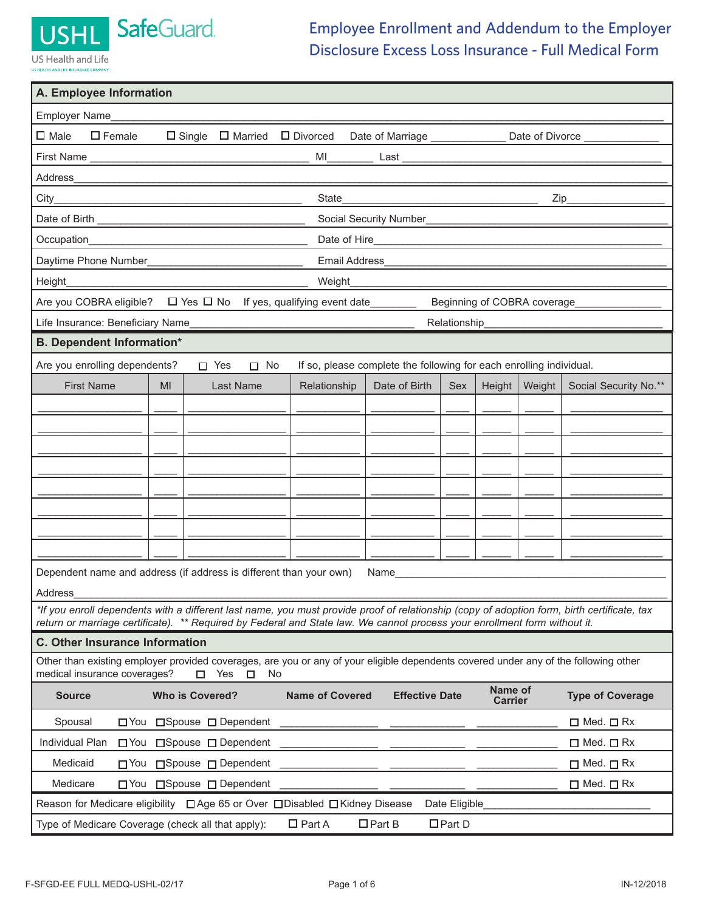

US Health and Life **JS HEALTH AND LIFE INSURANCE CO** 

## Employee Enrollment and Addendum to the Employer Disclosure Excess Loss Insurance - Full Medical Form

| A. Employee Information                                                                                                                                                                                                                                                                               |  |  |  |
|-------------------------------------------------------------------------------------------------------------------------------------------------------------------------------------------------------------------------------------------------------------------------------------------------------|--|--|--|
| Employer Name                                                                                                                                                                                                                                                                                         |  |  |  |
| $\square$ Female<br>$\square$ Male<br>$\Box$ Single $\Box$ Married $\Box$ Divorced<br>Date of Marriage ______________<br>Date of Divorce                                                                                                                                                              |  |  |  |
| MI<br>Last<br><u> 1989 - Johann Barbara, martin amerikan basar da</u>                                                                                                                                                                                                                                 |  |  |  |
| Address<br><u> 1989 - Johann Stoff, deutscher Stoffen und der Stoffen und der Stoffen und der Stoffen und der Stoffen und der</u>                                                                                                                                                                     |  |  |  |
| State<br>$City$ <sub>___</sub><br>$\mathsf{Zip}\_$<br><u> 1989 - Johann Stoff, deutscher Stoffen und der Stoffen und der Stoffen und der Stoffen und der Stoffen und der </u><br><u> 1989 - Johann John Stone, mars eta bainar eta baina eta baina eta baina eta baina eta baina eta baina eta ba</u> |  |  |  |
| Social Security Number                                                                                                                                                                                                                                                                                |  |  |  |
| Occupation_<br><u> 1989 - Johann Stoff, deutscher Stoffen und der Stoffen und der Stoffen und der Stoffen und der Stoffen und der</u>                                                                                                                                                                 |  |  |  |
| Daytime Phone Number_<br><b>Email Address</b>                                                                                                                                                                                                                                                         |  |  |  |
| Height<br>Weight                                                                                                                                                                                                                                                                                      |  |  |  |
| $\Box$ Yes $\Box$ No If yes, qualifying event date________<br>Are you COBRA eligible?<br>Beginning of COBRA coverage                                                                                                                                                                                  |  |  |  |
| Life Insurance: Beneficiary Name<br>Relationship                                                                                                                                                                                                                                                      |  |  |  |
| <b>B. Dependent Information*</b>                                                                                                                                                                                                                                                                      |  |  |  |
| Are you enrolling dependents?<br>If so, please complete the following for each enrolling individual.<br>$\Box$ No<br>$\Box$ Yes                                                                                                                                                                       |  |  |  |
| <b>First Name</b><br>Weight<br>Social Security No.**<br>MI<br><b>Last Name</b><br>Date of Birth<br>Height<br>Relationship<br><b>Sex</b>                                                                                                                                                               |  |  |  |
|                                                                                                                                                                                                                                                                                                       |  |  |  |
|                                                                                                                                                                                                                                                                                                       |  |  |  |
|                                                                                                                                                                                                                                                                                                       |  |  |  |
|                                                                                                                                                                                                                                                                                                       |  |  |  |
|                                                                                                                                                                                                                                                                                                       |  |  |  |
|                                                                                                                                                                                                                                                                                                       |  |  |  |
|                                                                                                                                                                                                                                                                                                       |  |  |  |
|                                                                                                                                                                                                                                                                                                       |  |  |  |
| Dependent name and address (if address is different than your own)<br>Name                                                                                                                                                                                                                            |  |  |  |
| Address                                                                                                                                                                                                                                                                                               |  |  |  |
| *If you enroll dependents with a different last name, you must provide proof of relationship (copy of adoption form, birth certificate, tax<br>return or marriage certificate). ** Required by Federal and State law. We cannot process your enrollment form without it.                              |  |  |  |
| <b>C. Other Insurance Information</b>                                                                                                                                                                                                                                                                 |  |  |  |
| Other than existing employer provided coverages, are you or any of your eligible dependents covered under any of the following other<br>medical insurance coverages?<br>Yes<br>No<br>П<br>п                                                                                                           |  |  |  |
| Name of<br><b>Who is Covered?</b><br><b>Name of Covered</b><br><b>Effective Date</b><br><b>Type of Coverage</b><br><b>Source</b><br><b>Carrier</b>                                                                                                                                                    |  |  |  |
| □Spouse □ Dependent<br>Spousal<br>$\Box$ You<br>$\Box$ Med. $\Box$ Rx                                                                                                                                                                                                                                 |  |  |  |
| Individual Plan<br>$\Box$ You<br>□Spouse □ Dependent<br>$\Box$ Med. $\Box$ Rx                                                                                                                                                                                                                         |  |  |  |
| Medicaid<br>$\Box$ You<br>□ Spouse □ Dependent<br>$\Box$ Med. $\Box$ Rx                                                                                                                                                                                                                               |  |  |  |
| Medicare<br>□Spouse □ Dependent<br>$\Box$ Med. $\Box$ Rx<br>$\Box$ You                                                                                                                                                                                                                                |  |  |  |
| Reason for Medicare eligibility □ Age 65 or Over □ Disabled □ Kidney Disease<br>Date Eligible                                                                                                                                                                                                         |  |  |  |
| $\Box$ Part A<br>$\Box$ Part B<br>$\Box$ Part D<br>Type of Medicare Coverage (check all that apply):                                                                                                                                                                                                  |  |  |  |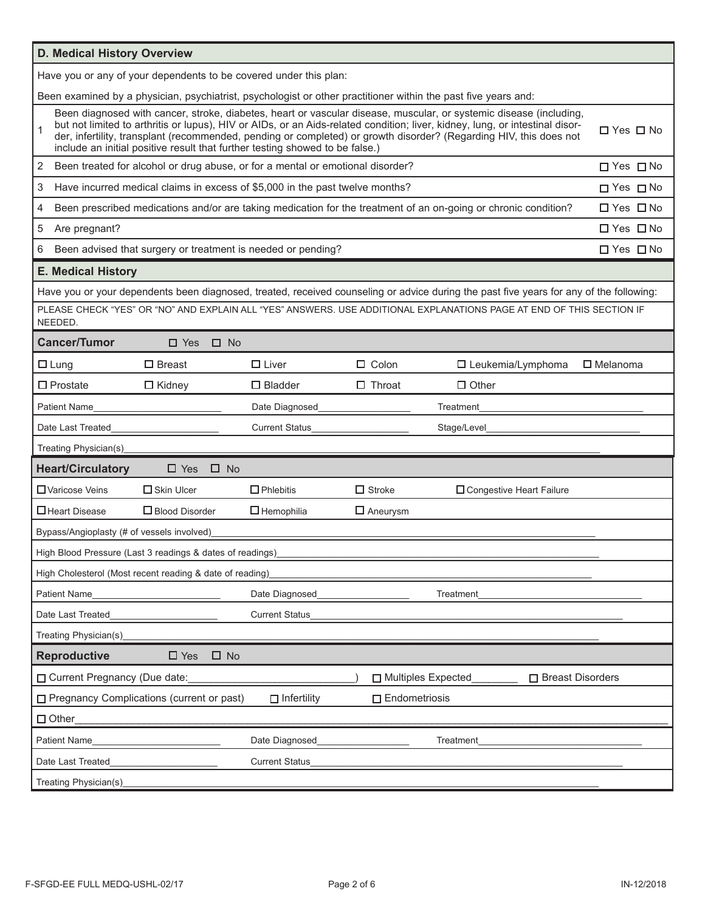| D. Medical History Overview                              |                                                                                                                                                                                                                                                                                                                                                                                                                                                                        |                       |                         |                                                                                                                                         |                      |
|----------------------------------------------------------|------------------------------------------------------------------------------------------------------------------------------------------------------------------------------------------------------------------------------------------------------------------------------------------------------------------------------------------------------------------------------------------------------------------------------------------------------------------------|-----------------------|-------------------------|-----------------------------------------------------------------------------------------------------------------------------------------|----------------------|
|                                                          | Have you or any of your dependents to be covered under this plan:                                                                                                                                                                                                                                                                                                                                                                                                      |                       |                         |                                                                                                                                         |                      |
|                                                          | Been examined by a physician, psychiatrist, psychologist or other practitioner within the past five years and:                                                                                                                                                                                                                                                                                                                                                         |                       |                         |                                                                                                                                         |                      |
| 1                                                        | Been diagnosed with cancer, stroke, diabetes, heart or vascular disease, muscular, or systemic disease (including,<br>but not limited to arthritis or lupus), HIV or AIDs, or an Aids-related condition; liver, kidney, lung, or intestinal disor-<br>□ Yes □ No<br>der, infertility, transplant (recommended, pending or completed) or growth disorder? (Regarding HIV, this does not<br>include an initial positive result that further testing showed to be false.) |                       |                         |                                                                                                                                         |                      |
| 2                                                        | Been treated for alcohol or drug abuse, or for a mental or emotional disorder?                                                                                                                                                                                                                                                                                                                                                                                         |                       |                         |                                                                                                                                         | □ Yes □ No           |
| 3                                                        | Have incurred medical claims in excess of \$5,000 in the past twelve months?                                                                                                                                                                                                                                                                                                                                                                                           |                       |                         |                                                                                                                                         | $\Box$ Yes $\Box$ No |
| 4                                                        |                                                                                                                                                                                                                                                                                                                                                                                                                                                                        |                       |                         | Been prescribed medications and/or are taking medication for the treatment of an on-going or chronic condition?                         | $\Box$ Yes $\Box$ No |
| 5<br>Are pregnant?                                       |                                                                                                                                                                                                                                                                                                                                                                                                                                                                        |                       |                         |                                                                                                                                         | $\Box$ Yes $\Box$ No |
| 6                                                        | Been advised that surgery or treatment is needed or pending?                                                                                                                                                                                                                                                                                                                                                                                                           |                       |                         |                                                                                                                                         | □ Yes □ No           |
| <b>E. Medical History</b>                                |                                                                                                                                                                                                                                                                                                                                                                                                                                                                        |                       |                         |                                                                                                                                         |                      |
|                                                          |                                                                                                                                                                                                                                                                                                                                                                                                                                                                        |                       |                         | Have you or your dependents been diagnosed, treated, received counseling or advice during the past five years for any of the following: |                      |
| NEEDED.                                                  |                                                                                                                                                                                                                                                                                                                                                                                                                                                                        |                       |                         | PLEASE CHECK "YES" OR "NO" AND EXPLAIN ALL "YES" ANSWERS. USE ADDITIONAL EXPLANATIONS PAGE AT END OF THIS SECTION IF                    |                      |
| <b>Cancer/Tumor</b>                                      | $\Box$ Yes<br>$\Box$ No                                                                                                                                                                                                                                                                                                                                                                                                                                                |                       |                         |                                                                                                                                         |                      |
| $\Box$ Lung                                              | $\Box$ Breast                                                                                                                                                                                                                                                                                                                                                                                                                                                          | $\Box$ Liver          | $\Box$ Colon            | $\square$ Leukemia/Lymphoma                                                                                                             | $\Box$ Melanoma      |
| $\Box$ Prostate                                          | $\Box$ Kidney                                                                                                                                                                                                                                                                                                                                                                                                                                                          | $\Box$ Bladder        | $\Box$ Throat           | $\Box$ Other                                                                                                                            |                      |
| <b>Patient Name</b>                                      |                                                                                                                                                                                                                                                                                                                                                                                                                                                                        | Date Diagnosed        |                         | Treatment                                                                                                                               |                      |
| Date Last Treated                                        |                                                                                                                                                                                                                                                                                                                                                                                                                                                                        | <b>Current Status</b> |                         | Stage/Level                                                                                                                             |                      |
| Treating Physician(s)                                    |                                                                                                                                                                                                                                                                                                                                                                                                                                                                        |                       |                         |                                                                                                                                         |                      |
| <b>Heart/Circulatory</b>                                 | $\square$ No<br>$\Box$ Yes                                                                                                                                                                                                                                                                                                                                                                                                                                             |                       |                         |                                                                                                                                         |                      |
| □ Varicose Veins                                         | $\Box$ Skin Ulcer                                                                                                                                                                                                                                                                                                                                                                                                                                                      | $\Box$ Phlebitis      | $\Box$ Stroke           | □ Congestive Heart Failure                                                                                                              |                      |
| □ Heart Disease                                          | $\Box$ Blood Disorder                                                                                                                                                                                                                                                                                                                                                                                                                                                  | $\Box$ Hemophilia     | $\Box$ Aneurysm         |                                                                                                                                         |                      |
| Bypass/Angioplasty (# of vessels involved)               |                                                                                                                                                                                                                                                                                                                                                                                                                                                                        |                       |                         |                                                                                                                                         |                      |
|                                                          | High Blood Pressure (Last 3 readings & dates of readings)                                                                                                                                                                                                                                                                                                                                                                                                              |                       |                         |                                                                                                                                         |                      |
| High Cholesterol (Most recent reading & date of reading) |                                                                                                                                                                                                                                                                                                                                                                                                                                                                        |                       |                         |                                                                                                                                         |                      |
| Patient Name                                             |                                                                                                                                                                                                                                                                                                                                                                                                                                                                        | Date Diagnosed        |                         | Treatment                                                                                                                               |                      |
| Date Last Treated                                        |                                                                                                                                                                                                                                                                                                                                                                                                                                                                        | <b>Current Status</b> |                         |                                                                                                                                         |                      |
| Treating Physician(s)                                    |                                                                                                                                                                                                                                                                                                                                                                                                                                                                        |                       |                         |                                                                                                                                         |                      |
| <b>Reproductive</b>                                      | $\square$ Yes<br>$\square$ No                                                                                                                                                                                                                                                                                                                                                                                                                                          |                       |                         |                                                                                                                                         |                      |
| □ Current Pregnancy (Due date:                           |                                                                                                                                                                                                                                                                                                                                                                                                                                                                        |                       | □ Multiples Expected    | □ Breast Disorders                                                                                                                      |                      |
|                                                          | □ Pregnancy Complications (current or past)                                                                                                                                                                                                                                                                                                                                                                                                                            | $\Box$ Infertility    | $\square$ Endometriosis |                                                                                                                                         |                      |
| $\Box$ Other                                             |                                                                                                                                                                                                                                                                                                                                                                                                                                                                        |                       |                         |                                                                                                                                         |                      |
| Patient Name                                             |                                                                                                                                                                                                                                                                                                                                                                                                                                                                        | Date Diagnosed        |                         | Treatment                                                                                                                               |                      |
| Date Last Treated                                        |                                                                                                                                                                                                                                                                                                                                                                                                                                                                        | <b>Current Status</b> |                         |                                                                                                                                         |                      |
| Treating Physician(s)                                    |                                                                                                                                                                                                                                                                                                                                                                                                                                                                        |                       |                         |                                                                                                                                         |                      |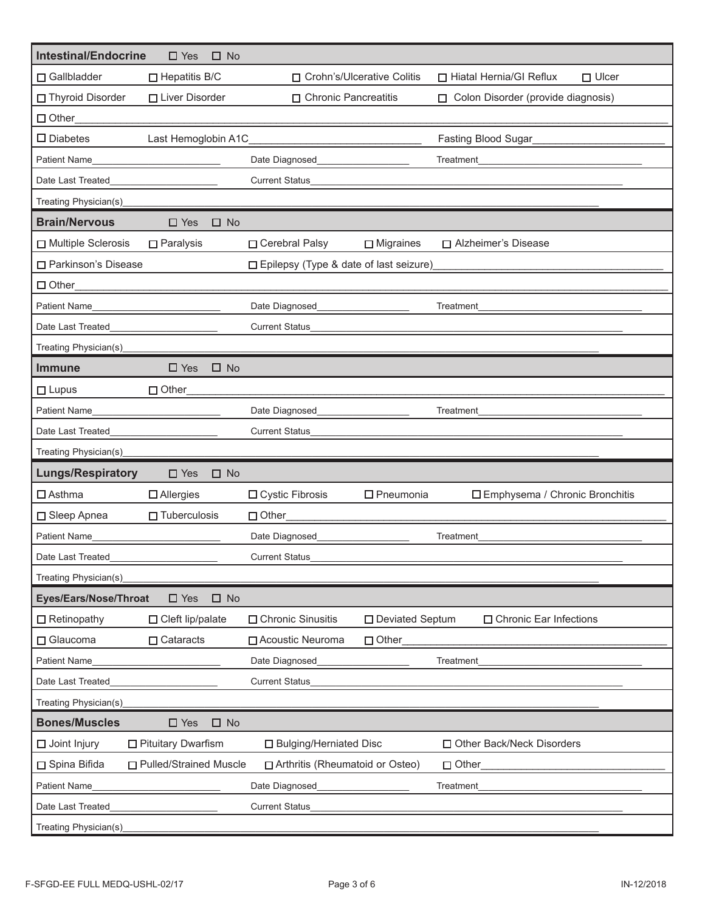| <b>Intestinal/Endocrine</b> | $\Box$ Yes<br>$\square$ No    |                                          |                     |                                           |
|-----------------------------|-------------------------------|------------------------------------------|---------------------|-------------------------------------------|
| □ Gallbladder               | $\Box$ Hepatitis B/C          | □ Crohn's/Ulcerative Colitis             |                     | □ Hiatal Hernia/GI Reflux<br>$\Box$ Ulcer |
| □ Thyroid Disorder          | □ Liver Disorder              | □ Chronic Pancreatitis                   |                     | □ Colon Disorder (provide diagnosis)      |
| $\Box$ Other                |                               |                                          |                     |                                           |
| $\square$ Diabetes          | Last Hemoglobin A1C           |                                          |                     | Fasting Blood Sugar                       |
| <b>Patient Name</b>         |                               | Date Diagnosed                           |                     | Treatment                                 |
| Date Last Treated           |                               | <b>Current Status</b>                    |                     |                                           |
| Treating Physician(s)       |                               |                                          |                     |                                           |
| <b>Brain/Nervous</b>        | $\square$ Yes<br>$\square$ No |                                          |                     |                                           |
| Multiple Sclerosis          | $\Box$ Paralysis              | □ Cerebral Palsy                         | $\Box$ Migraines    | □ Alzheimer's Disease                     |
| □ Parkinson's Disease       |                               | □ Epilepsy (Type & date of last seizure) |                     |                                           |
| $\Box$ Other                |                               |                                          |                     |                                           |
| Patient Name                |                               | Date Diagnosed                           |                     | Treatment                                 |
| Date Last Treated           |                               | <b>Current Status</b>                    |                     |                                           |
| Treating Physician(s)       |                               |                                          |                     |                                           |
| <b>Immune</b>               | $\square$ Yes<br>$\square$ No |                                          |                     |                                           |
| $\Box$ Lupus                | □ Other                       |                                          |                     |                                           |
| <b>Patient Name</b>         |                               | Date Diagnosed                           |                     | Treatment                                 |
| Date Last Treated           |                               | <b>Current Status</b>                    |                     |                                           |
| Treating Physician(s)       |                               |                                          |                     |                                           |
| <b>Lungs/Respiratory</b>    | $\Box$ Yes<br>$\Box$ No       |                                          |                     |                                           |
| $\Box$ Asthma               | $\Box$ Allergies              | □ Cystic Fibrosis                        | $\square$ Pneumonia | □ Emphysema / Chronic Bronchitis          |
| □ Sleep Apnea               | $\Box$ Tuberculosis           | Other                                    |                     |                                           |
| <b>Patient Name</b>         |                               | Date Diagnosed                           |                     | Treatment                                 |
| Date Last Treated           |                               | <b>Current Status</b>                    |                     |                                           |
| Treating Physician(s)       |                               |                                          |                     |                                           |
| Eyes/Ears/Nose/Throat       | $\square$ Yes<br>$\square$ No |                                          |                     |                                           |
| $\Box$ Retinopathy          | $\Box$ Cleft lip/palate       | □ Chronic Sinusitis                      | □ Deviated Septum   | □ Chronic Ear Infections                  |
| □ Glaucoma                  | $\Box$ Cataracts              | □ Acoustic Neuroma                       | $\Box$ Other        |                                           |
| Patient Name                |                               | Date Diagnosed                           |                     | Treatment                                 |
| Date Last Treated           |                               | <b>Current Status</b>                    |                     |                                           |
| Treating Physician(s)       |                               |                                          |                     |                                           |
| <b>Bones/Muscles</b>        | $\square$ No<br>$\square$ Yes |                                          |                     |                                           |
| $\Box$ Joint Injury         | $\square$ Pituitary Dwarfism  | □ Bulging/Herniated Disc                 |                     | □ Other Back/Neck Disorders               |
| □ Spina Bifida              | □ Pulled/Strained Muscle      | □ Arthritis (Rheumatoid or Osteo)        |                     | $\Box$ Other                              |
| Patient Name                |                               | Date Diagnosed                           |                     | Treatment                                 |
| Date Last Treated           |                               | <b>Current Status</b>                    |                     |                                           |
| Treating Physician(s)       |                               |                                          |                     |                                           |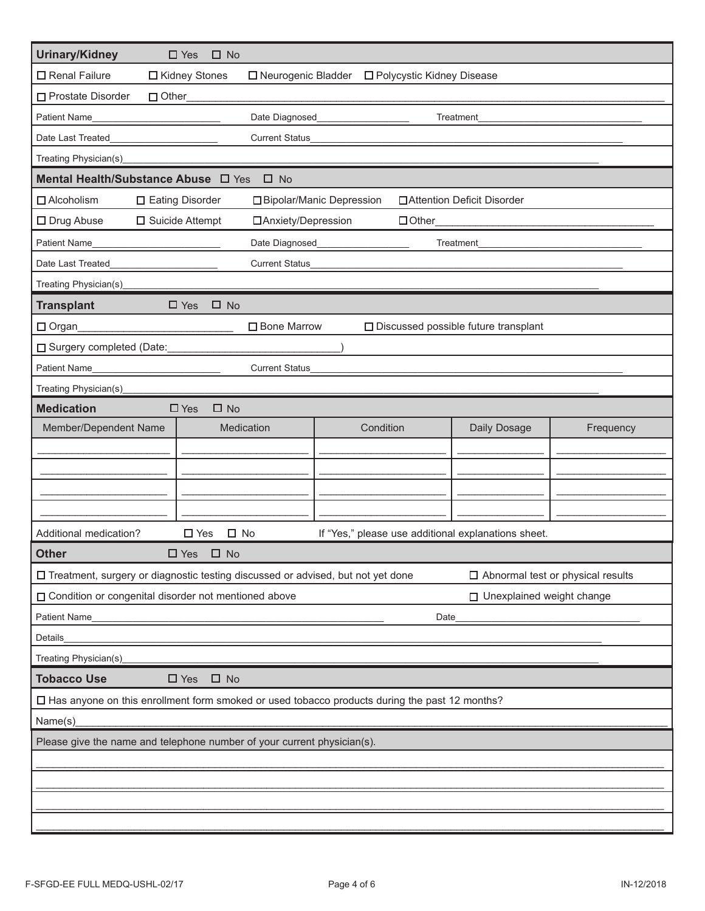| Urinary/Kidney                                                                                                                                                                                                                                       | $\Box$ Yes<br>$\square$ No              |                                      |                                        |                                          |
|------------------------------------------------------------------------------------------------------------------------------------------------------------------------------------------------------------------------------------------------------|-----------------------------------------|--------------------------------------|----------------------------------------|------------------------------------------|
| □ Renal Failure                                                                                                                                                                                                                                      | □ Kidney Stones<br>□ Neurogenic Bladder | □ Polycystic Kidney Disease          |                                        |                                          |
| □ Prostate Disorder<br>$\Box$ Other                                                                                                                                                                                                                  |                                         |                                      |                                        |                                          |
| Patient Name                                                                                                                                                                                                                                         | Date Diagnosed<br>Treatment             |                                      |                                        |                                          |
| Date Last Treated                                                                                                                                                                                                                                    | <b>Current Status</b>                   |                                      |                                        |                                          |
| Treating Physician(s)                                                                                                                                                                                                                                |                                         |                                      |                                        |                                          |
| Mental Health/Substance Abuse $\Box$ Yes                                                                                                                                                                                                             | $\square$ No                            |                                      |                                        |                                          |
| $\Box$ Alcoholism                                                                                                                                                                                                                                    | □ Eating Disorder                       | □ Bipolar/Manic Depression           | □ Attention Deficit Disorder           |                                          |
| $\Box$ Drug Abuse                                                                                                                                                                                                                                    | $\square$ Suicide Attempt               | □ Anxiety/Depression<br>$\Box$ Other |                                        |                                          |
| Patient Name                                                                                                                                                                                                                                         | Date Diagnosed                          |                                      | Treatment                              |                                          |
| Date Last Treated                                                                                                                                                                                                                                    | <b>Current Status</b>                   |                                      |                                        |                                          |
| Treating Physician(s)                                                                                                                                                                                                                                |                                         |                                      |                                        |                                          |
| <b>Transplant</b>                                                                                                                                                                                                                                    | $\square$ Yes<br>$\square$ No           |                                      |                                        |                                          |
| Organ                                                                                                                                                                                                                                                | □ Bone Marrow                           |                                      | □ Discussed possible future transplant |                                          |
| □ Surgery completed (Date:                                                                                                                                                                                                                           |                                         |                                      |                                        |                                          |
| Patient Name<br><u>and the company of the company of the company of the company of the company of the company of the company of the company of the company of the company of the company of the company of the company of the company of the com</u> | <b>Current Status</b>                   |                                      |                                        |                                          |
| Treating Physician(s)                                                                                                                                                                                                                                |                                         |                                      |                                        |                                          |
| <b>Medication</b>                                                                                                                                                                                                                                    | $\square$ Yes<br>$\square$ No           |                                      |                                        |                                          |
| Member/Dependent Name                                                                                                                                                                                                                                | Medication                              | Condition                            | Daily Dosage                           | Frequency                                |
|                                                                                                                                                                                                                                                      |                                         |                                      |                                        |                                          |
|                                                                                                                                                                                                                                                      |                                         |                                      |                                        |                                          |
|                                                                                                                                                                                                                                                      |                                         |                                      |                                        |                                          |
|                                                                                                                                                                                                                                                      |                                         |                                      |                                        |                                          |
| Additional medication?<br>$\square$ No<br>If "Yes," please use additional explanations sheet.<br>$\square$ Yes                                                                                                                                       |                                         |                                      |                                        |                                          |
| <b>Other</b>                                                                                                                                                                                                                                         | $\Box$ Yes $\Box$ No                    |                                      |                                        |                                          |
| □ Treatment, surgery or diagnostic testing discussed or advised, but not yet done                                                                                                                                                                    |                                         |                                      |                                        | $\Box$ Abnormal test or physical results |
| □ Condition or congenital disorder not mentioned above                                                                                                                                                                                               |                                         |                                      | □ Unexplained weight change            |                                          |
| Patient Name<br>Date                                                                                                                                                                                                                                 |                                         |                                      |                                        |                                          |
| Details                                                                                                                                                                                                                                              |                                         |                                      |                                        |                                          |
| Treating Physician(s)                                                                                                                                                                                                                                |                                         |                                      |                                        |                                          |
| <b>Tobacco Use</b><br>$\square$ No<br>$\Box$ Yes                                                                                                                                                                                                     |                                         |                                      |                                        |                                          |
| □ Has anyone on this enrollment form smoked or used tobacco products during the past 12 months?                                                                                                                                                      |                                         |                                      |                                        |                                          |
| Name(s)                                                                                                                                                                                                                                              |                                         |                                      |                                        |                                          |
| Please give the name and telephone number of your current physician(s).                                                                                                                                                                              |                                         |                                      |                                        |                                          |
|                                                                                                                                                                                                                                                      |                                         |                                      |                                        |                                          |
|                                                                                                                                                                                                                                                      |                                         |                                      |                                        |                                          |
|                                                                                                                                                                                                                                                      |                                         |                                      |                                        |                                          |
|                                                                                                                                                                                                                                                      |                                         |                                      |                                        |                                          |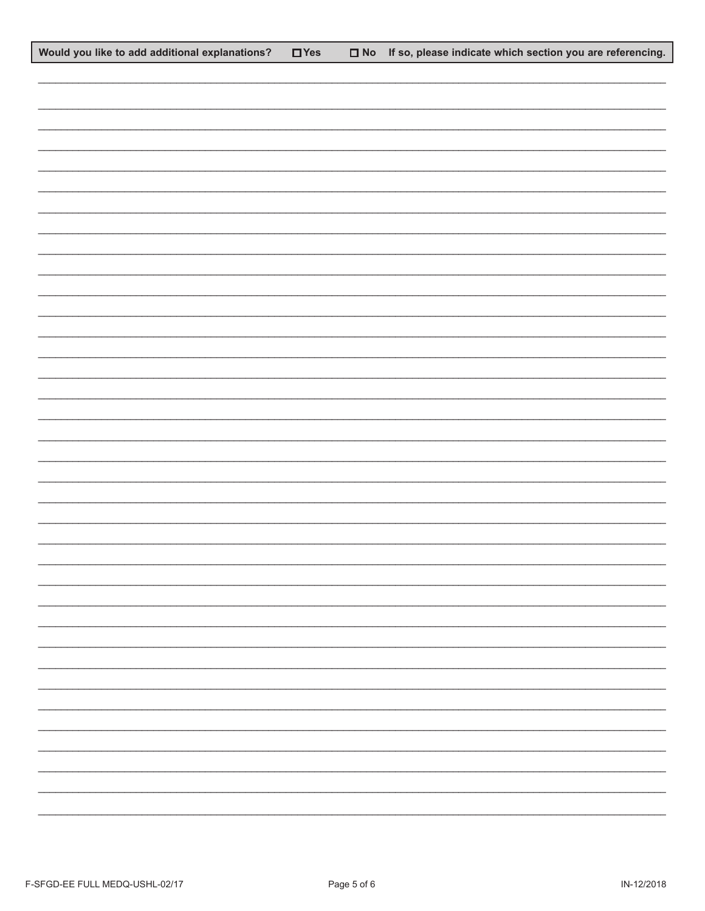| Would you like to add additional explanations? | $\Box$ Yes | $\Box$ No If so, please indicate which section you are referencing. |
|------------------------------------------------|------------|---------------------------------------------------------------------|
|                                                |            |                                                                     |
|                                                |            |                                                                     |
|                                                |            |                                                                     |
|                                                |            |                                                                     |
|                                                |            |                                                                     |
|                                                |            |                                                                     |
|                                                |            |                                                                     |
|                                                |            |                                                                     |
|                                                |            |                                                                     |
|                                                |            |                                                                     |
|                                                |            |                                                                     |
|                                                |            |                                                                     |
|                                                |            |                                                                     |
|                                                |            |                                                                     |
|                                                |            |                                                                     |
|                                                |            |                                                                     |
|                                                |            |                                                                     |
|                                                |            |                                                                     |
|                                                |            |                                                                     |
|                                                |            |                                                                     |
|                                                |            |                                                                     |
|                                                |            |                                                                     |
|                                                |            |                                                                     |
|                                                |            |                                                                     |
|                                                |            |                                                                     |
|                                                |            |                                                                     |
|                                                |            |                                                                     |
|                                                |            | $\overline{\phantom{0}}$                                            |
|                                                |            |                                                                     |
|                                                |            |                                                                     |
|                                                |            |                                                                     |
|                                                |            |                                                                     |
|                                                |            |                                                                     |
|                                                |            |                                                                     |
|                                                |            | Ξ.                                                                  |
|                                                |            |                                                                     |
|                                                |            |                                                                     |
|                                                |            |                                                                     |
|                                                |            |                                                                     |